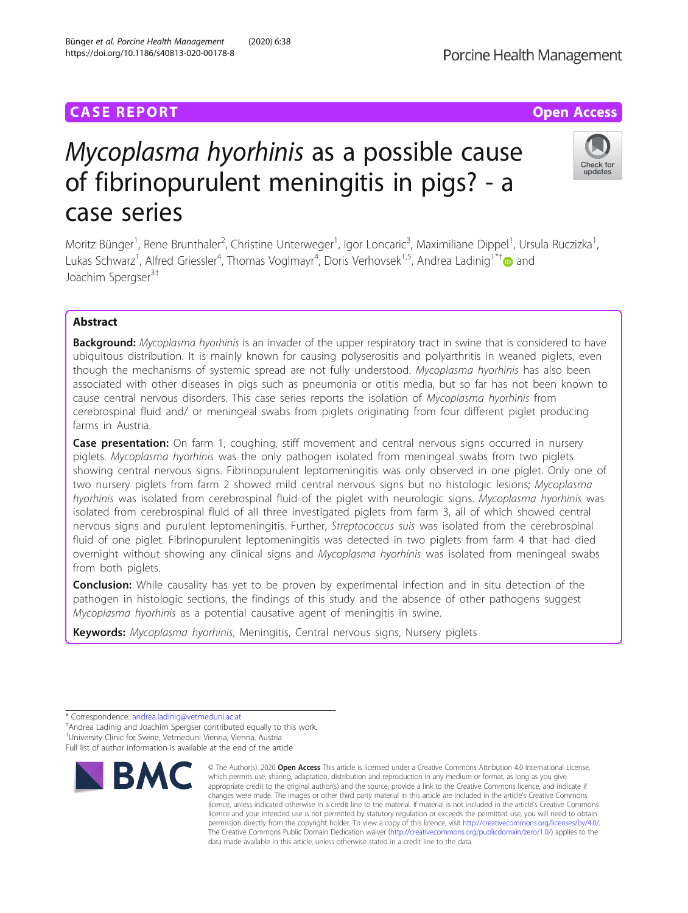# **CASE REPORT CASE ACCESS**

# Mycoplasma hyorhinis as a possible cause of fibrinopurulent meningitis in pigs? - a case series

Moritz Bünger<sup>1</sup>, Rene Brunthaler<sup>2</sup>, Christine Unterweger<sup>1</sup>, Igor Loncaric<sup>3</sup>, Maximiliane Dippel<sup>1</sup>, Ursula Ruczizka<sup>1</sup> , Lukas Schwarz<sup>1</sup>, Alfred Griessler<sup>4</sup>, Thomas Voglmayr<sup>4</sup>, Doris Verhovsek<sup>1,5</sup>, Andrea Ladinig<sup>1\*[†](http://orcid.org/0000-0001-5037-7269)</sup>@ and Joachim Spergser<sup>3†</sup>

# Abstract

**Background:** Mycoplasma hyorhinis is an invader of the upper respiratory tract in swine that is considered to have ubiquitous distribution. It is mainly known for causing polyserositis and polyarthritis in weaned piglets, even though the mechanisms of systemic spread are not fully understood. Mycoplasma hyorhinis has also been associated with other diseases in pigs such as pneumonia or otitis media, but so far has not been known to cause central nervous disorders. This case series reports the isolation of Mycoplasma hyorhinis from cerebrospinal fluid and/ or meningeal swabs from piglets originating from four different piglet producing farms in Austria.

Case presentation: On farm 1, coughing, stiff movement and central nervous signs occurred in nursery piglets. Mycoplasma hyorhinis was the only pathogen isolated from meningeal swabs from two piglets showing central nervous signs. Fibrinopurulent leptomeningitis was only observed in one piglet. Only one of two nursery piglets from farm 2 showed mild central nervous signs but no histologic lesions; Mycoplasma hyorhinis was isolated from cerebrospinal fluid of the piglet with neurologic signs. Mycoplasma hyorhinis was isolated from cerebrospinal fluid of all three investigated piglets from farm 3, all of which showed central nervous signs and purulent leptomeningitis. Further, Streptococcus suis was isolated from the cerebrospinal fluid of one piglet. Fibrinopurulent leptomeningitis was detected in two piglets from farm 4 that had died overnight without showing any clinical signs and Mycoplasma hyorhinis was isolated from meningeal swabs from both piglets.

**Conclusion:** While causality has yet to be proven by experimental infection and in situ detection of the pathogen in histologic sections, the findings of this study and the absence of other pathogens suggest Mycoplasma hyorhinis as a potential causative agent of meningitis in swine.

Keywords: Mycoplasma hyorhinis, Meningitis, Central nervous signs, Nursery piglets

**BMC** 

<sup>+</sup>Andrea Ladinig and Joachim Spergser contributed equally to this work. <sup>1</sup>University Clinic for Swine, Vetmeduni Vienna, Vienna, Austria

© The Author(s), 2020 **Open Access** This article is licensed under a Creative Commons Attribution 4.0 International License, which permits use, sharing, adaptation, distribution and reproduction in any medium or format, as long as you give

Porcine Health Management



<sup>\*</sup> Correspondence: [andrea.ladinig@vetmeduni.ac.at](mailto:andrea.ladinig@vetmeduni.ac.at) †

Full list of author information is available at the end of the article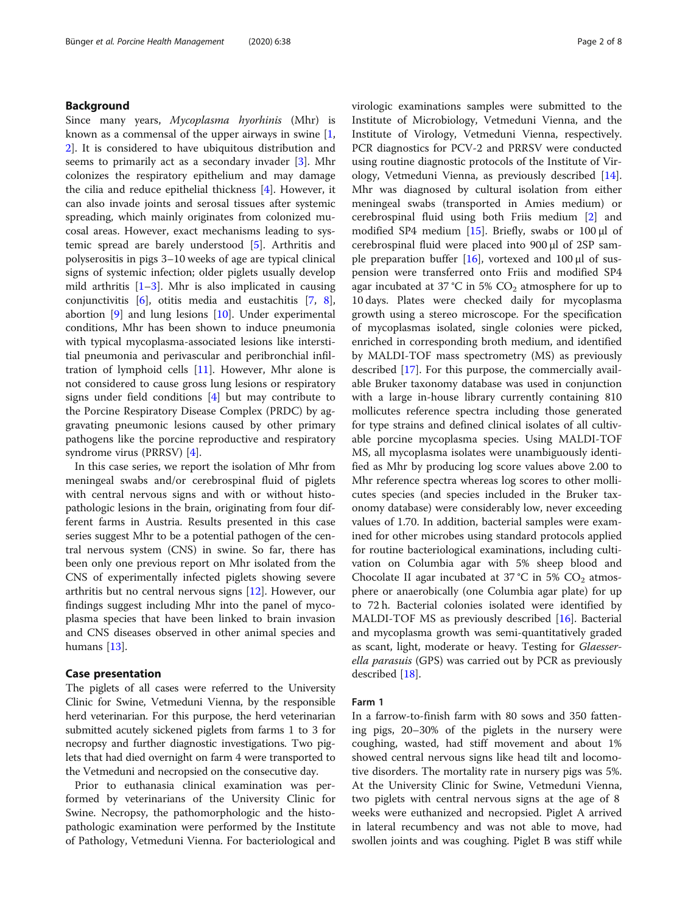# Background

Since many years, Mycoplasma hyorhinis (Mhr) is known as a commensal of the upper airways in swine  $[1, 1]$  $[1, 1]$ [2\]](#page-6-0). It is considered to have ubiquitous distribution and seems to primarily act as a secondary invader [\[3](#page-6-0)]. Mhr colonizes the respiratory epithelium and may damage the cilia and reduce epithelial thickness [[4](#page-6-0)]. However, it can also invade joints and serosal tissues after systemic spreading, which mainly originates from colonized mucosal areas. However, exact mechanisms leading to systemic spread are barely understood [[5\]](#page-6-0). Arthritis and polyserositis in pigs 3–10 weeks of age are typical clinical signs of systemic infection; older piglets usually develop mild arthritis  $[1-3]$  $[1-3]$  $[1-3]$ . Mhr is also implicated in causing conjunctivitis [[6\]](#page-6-0), otitis media and eustachitis [\[7](#page-6-0), [8](#page-6-0)], abortion [[9\]](#page-6-0) and lung lesions [[10\]](#page-6-0). Under experimental conditions, Mhr has been shown to induce pneumonia with typical mycoplasma-associated lesions like interstitial pneumonia and perivascular and peribronchial infiltration of lymphoid cells [[11\]](#page-6-0). However, Mhr alone is not considered to cause gross lung lesions or respiratory signs under field conditions [[4\]](#page-6-0) but may contribute to the Porcine Respiratory Disease Complex (PRDC) by aggravating pneumonic lesions caused by other primary pathogens like the porcine reproductive and respiratory syndrome virus (PRRSV) [\[4](#page-6-0)].

In this case series, we report the isolation of Mhr from meningeal swabs and/or cerebrospinal fluid of piglets with central nervous signs and with or without histopathologic lesions in the brain, originating from four different farms in Austria. Results presented in this case series suggest Mhr to be a potential pathogen of the central nervous system (CNS) in swine. So far, there has been only one previous report on Mhr isolated from the CNS of experimentally infected piglets showing severe arthritis but no central nervous signs [\[12\]](#page-6-0). However, our findings suggest including Mhr into the panel of mycoplasma species that have been linked to brain invasion and CNS diseases observed in other animal species and humans [\[13](#page-6-0)].

# Case presentation

The piglets of all cases were referred to the University Clinic for Swine, Vetmeduni Vienna, by the responsible herd veterinarian. For this purpose, the herd veterinarian submitted acutely sickened piglets from farms 1 to 3 for necropsy and further diagnostic investigations. Two piglets that had died overnight on farm 4 were transported to the Vetmeduni and necropsied on the consecutive day.

Prior to euthanasia clinical examination was performed by veterinarians of the University Clinic for Swine. Necropsy, the pathomorphologic and the histopathologic examination were performed by the Institute of Pathology, Vetmeduni Vienna. For bacteriological and virologic examinations samples were submitted to the Institute of Microbiology, Vetmeduni Vienna, and the Institute of Virology, Vetmeduni Vienna, respectively. PCR diagnostics for PCV-2 and PRRSV were conducted using routine diagnostic protocols of the Institute of Virology, Vetmeduni Vienna, as previously described [\[14](#page-7-0)]. Mhr was diagnosed by cultural isolation from either meningeal swabs (transported in Amies medium) or cerebrospinal fluid using both Friis medium [\[2](#page-6-0)] and modified SP4 medium [[15\]](#page-7-0). Briefly, swabs or 100 μl of cerebrospinal fluid were placed into 900 μl of 2SP sample preparation buffer  $[16]$  $[16]$ , vortexed and  $100 \mu l$  of suspension were transferred onto Friis and modified SP4 agar incubated at 37 °C in 5%  $CO<sub>2</sub>$  atmosphere for up to 10 days. Plates were checked daily for mycoplasma growth using a stereo microscope. For the specification of mycoplasmas isolated, single colonies were picked, enriched in corresponding broth medium, and identified by MALDI-TOF mass spectrometry (MS) as previously described [\[17\]](#page-7-0). For this purpose, the commercially available Bruker taxonomy database was used in conjunction with a large in-house library currently containing 810 mollicutes reference spectra including those generated for type strains and defined clinical isolates of all cultivable porcine mycoplasma species. Using MALDI-TOF MS, all mycoplasma isolates were unambiguously identified as Mhr by producing log score values above 2.00 to Mhr reference spectra whereas log scores to other mollicutes species (and species included in the Bruker taxonomy database) were considerably low, never exceeding values of 1.70. In addition, bacterial samples were examined for other microbes using standard protocols applied for routine bacteriological examinations, including cultivation on Columbia agar with 5% sheep blood and Chocolate II agar incubated at 37 °C in 5%  $CO<sub>2</sub>$  atmosphere or anaerobically (one Columbia agar plate) for up to 72 h. Bacterial colonies isolated were identified by MALDI-TOF MS as previously described [\[16](#page-7-0)]. Bacterial and mycoplasma growth was semi-quantitatively graded as scant, light, moderate or heavy. Testing for Glaesserella parasuis (GPS) was carried out by PCR as previously described [[18](#page-7-0)].

#### Farm 1

In a farrow-to-finish farm with 80 sows and 350 fattening pigs, 20–30% of the piglets in the nursery were coughing, wasted, had stiff movement and about 1% showed central nervous signs like head tilt and locomotive disorders. The mortality rate in nursery pigs was 5%. At the University Clinic for Swine, Vetmeduni Vienna, two piglets with central nervous signs at the age of 8 weeks were euthanized and necropsied. Piglet A arrived in lateral recumbency and was not able to move, had swollen joints and was coughing. Piglet B was stiff while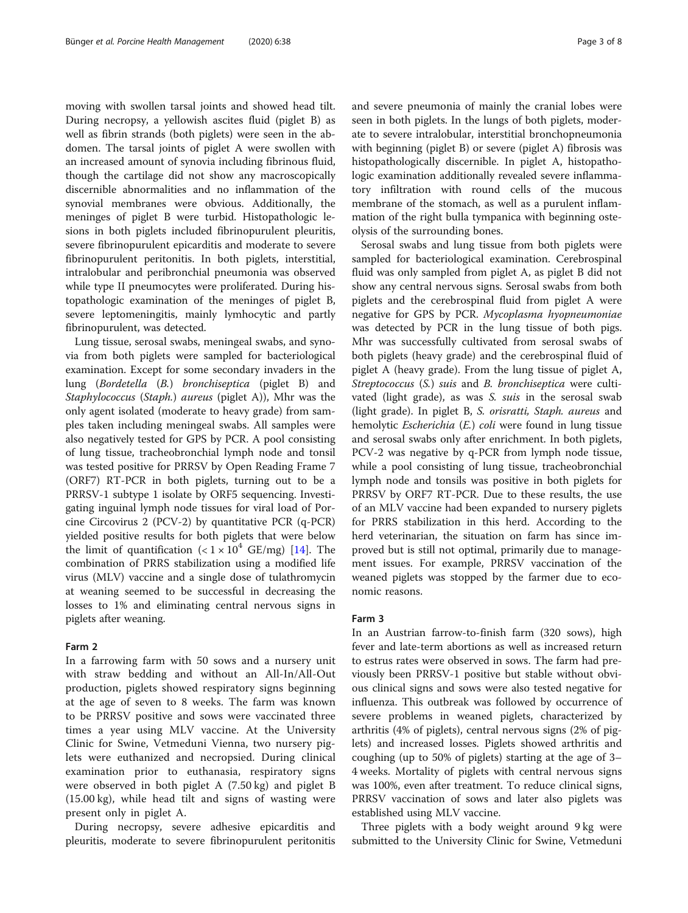moving with swollen tarsal joints and showed head tilt. During necropsy, a yellowish ascites fluid (piglet B) as well as fibrin strands (both piglets) were seen in the abdomen. The tarsal joints of piglet A were swollen with an increased amount of synovia including fibrinous fluid, though the cartilage did not show any macroscopically discernible abnormalities and no inflammation of the synovial membranes were obvious. Additionally, the meninges of piglet B were turbid. Histopathologic lesions in both piglets included fibrinopurulent pleuritis, severe fibrinopurulent epicarditis and moderate to severe fibrinopurulent peritonitis. In both piglets, interstitial, intralobular and peribronchial pneumonia was observed while type II pneumocytes were proliferated. During histopathologic examination of the meninges of piglet B, severe leptomeningitis, mainly lymhocytic and partly fibrinopurulent, was detected.

Lung tissue, serosal swabs, meningeal swabs, and synovia from both piglets were sampled for bacteriological examination. Except for some secondary invaders in the lung (Bordetella (B.) bronchiseptica (piglet B) and Staphylococcus (Staph.) aureus (piglet A)), Mhr was the only agent isolated (moderate to heavy grade) from samples taken including meningeal swabs. All samples were also negatively tested for GPS by PCR. A pool consisting of lung tissue, tracheobronchial lymph node and tonsil was tested positive for PRRSV by Open Reading Frame 7 (ORF7) RT-PCR in both piglets, turning out to be a PRRSV-1 subtype 1 isolate by ORF5 sequencing. Investigating inguinal lymph node tissues for viral load of Porcine Circovirus 2 (PCV-2) by quantitative PCR (q-PCR) yielded positive results for both piglets that were below the limit of quantification  $(< 1 \times 10^4$  GE/mg) [[14](#page-7-0)]. The combination of PRRS stabilization using a modified life virus (MLV) vaccine and a single dose of tulathromycin at weaning seemed to be successful in decreasing the losses to 1% and eliminating central nervous signs in piglets after weaning.

## Farm 2

In a farrowing farm with 50 sows and a nursery unit with straw bedding and without an All-In/All-Out production, piglets showed respiratory signs beginning at the age of seven to 8 weeks. The farm was known to be PRRSV positive and sows were vaccinated three times a year using MLV vaccine. At the University Clinic for Swine, Vetmeduni Vienna, two nursery piglets were euthanized and necropsied. During clinical examination prior to euthanasia, respiratory signs were observed in both piglet A (7.50 kg) and piglet B (15.00 kg), while head tilt and signs of wasting were present only in piglet A.

During necropsy, severe adhesive epicarditis and pleuritis, moderate to severe fibrinopurulent peritonitis and severe pneumonia of mainly the cranial lobes were seen in both piglets. In the lungs of both piglets, moderate to severe intralobular, interstitial bronchopneumonia with beginning (piglet B) or severe (piglet A) fibrosis was histopathologically discernible. In piglet A, histopathologic examination additionally revealed severe inflammatory infiltration with round cells of the mucous membrane of the stomach, as well as a purulent inflammation of the right bulla tympanica with beginning osteolysis of the surrounding bones.

Serosal swabs and lung tissue from both piglets were sampled for bacteriological examination. Cerebrospinal fluid was only sampled from piglet A, as piglet B did not show any central nervous signs. Serosal swabs from both piglets and the cerebrospinal fluid from piglet A were negative for GPS by PCR. Mycoplasma hyopneumoniae was detected by PCR in the lung tissue of both pigs. Mhr was successfully cultivated from serosal swabs of both piglets (heavy grade) and the cerebrospinal fluid of piglet A (heavy grade). From the lung tissue of piglet A, Streptococcus (S.) suis and B. bronchiseptica were cultivated (light grade), as was S. suis in the serosal swab (light grade). In piglet B, S. orisratti, Staph. aureus and hemolytic *Escherichia* (*E.*) *coli* were found in lung tissue and serosal swabs only after enrichment. In both piglets, PCV-2 was negative by q-PCR from lymph node tissue, while a pool consisting of lung tissue, tracheobronchial lymph node and tonsils was positive in both piglets for PRRSV by ORF7 RT-PCR. Due to these results, the use of an MLV vaccine had been expanded to nursery piglets for PRRS stabilization in this herd. According to the herd veterinarian, the situation on farm has since improved but is still not optimal, primarily due to management issues. For example, PRRSV vaccination of the weaned piglets was stopped by the farmer due to economic reasons.

### Farm 3

In an Austrian farrow-to-finish farm (320 sows), high fever and late-term abortions as well as increased return to estrus rates were observed in sows. The farm had previously been PRRSV-1 positive but stable without obvious clinical signs and sows were also tested negative for influenza. This outbreak was followed by occurrence of severe problems in weaned piglets, characterized by arthritis (4% of piglets), central nervous signs (2% of piglets) and increased losses. Piglets showed arthritis and coughing (up to 50% of piglets) starting at the age of 3– 4 weeks. Mortality of piglets with central nervous signs was 100%, even after treatment. To reduce clinical signs, PRRSV vaccination of sows and later also piglets was established using MLV vaccine.

Three piglets with a body weight around 9 kg were submitted to the University Clinic for Swine, Vetmeduni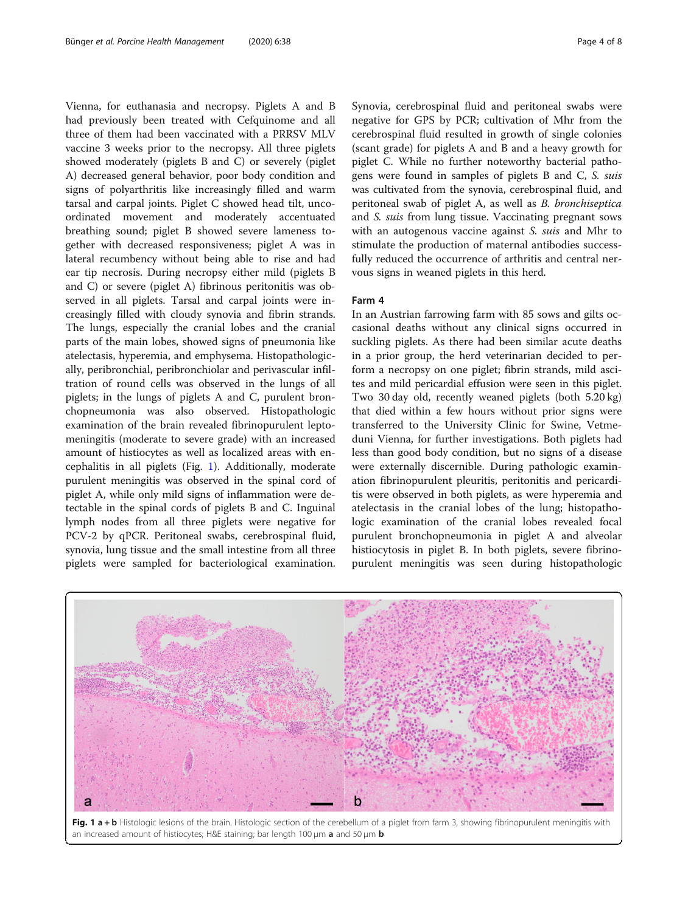Vienna, for euthanasia and necropsy. Piglets A and B had previously been treated with Cefquinome and all three of them had been vaccinated with a PRRSV MLV vaccine 3 weeks prior to the necropsy. All three piglets showed moderately (piglets B and C) or severely (piglet A) decreased general behavior, poor body condition and signs of polyarthritis like increasingly filled and warm tarsal and carpal joints. Piglet C showed head tilt, uncoordinated movement and moderately accentuated breathing sound; piglet B showed severe lameness together with decreased responsiveness; piglet A was in lateral recumbency without being able to rise and had ear tip necrosis. During necropsy either mild (piglets B and C) or severe (piglet A) fibrinous peritonitis was observed in all piglets. Tarsal and carpal joints were increasingly filled with cloudy synovia and fibrin strands. The lungs, especially the cranial lobes and the cranial parts of the main lobes, showed signs of pneumonia like atelectasis, hyperemia, and emphysema. Histopathologically, peribronchial, peribronchiolar and perivascular infiltration of round cells was observed in the lungs of all piglets; in the lungs of piglets A and C, purulent bronchopneumonia was also observed. Histopathologic examination of the brain revealed fibrinopurulent leptomeningitis (moderate to severe grade) with an increased amount of histiocytes as well as localized areas with encephalitis in all piglets (Fig. 1). Additionally, moderate purulent meningitis was observed in the spinal cord of piglet A, while only mild signs of inflammation were detectable in the spinal cords of piglets B and C. Inguinal lymph nodes from all three piglets were negative for PCV-2 by qPCR. Peritoneal swabs, cerebrospinal fluid, synovia, lung tissue and the small intestine from all three piglets were sampled for bacteriological examination.

Synovia, cerebrospinal fluid and peritoneal swabs were negative for GPS by PCR; cultivation of Mhr from the cerebrospinal fluid resulted in growth of single colonies (scant grade) for piglets A and B and a heavy growth for piglet C. While no further noteworthy bacterial pathogens were found in samples of piglets B and C, S. suis was cultivated from the synovia, cerebrospinal fluid, and peritoneal swab of piglet A, as well as B. bronchiseptica and S. suis from lung tissue. Vaccinating pregnant sows with an autogenous vaccine against S. suis and Mhr to stimulate the production of maternal antibodies successfully reduced the occurrence of arthritis and central nervous signs in weaned piglets in this herd.

# Farm 4

In an Austrian farrowing farm with 85 sows and gilts occasional deaths without any clinical signs occurred in suckling piglets. As there had been similar acute deaths in a prior group, the herd veterinarian decided to perform a necropsy on one piglet; fibrin strands, mild ascites and mild pericardial effusion were seen in this piglet. Two 30 day old, recently weaned piglets (both 5.20 kg) that died within a few hours without prior signs were transferred to the University Clinic for Swine, Vetmeduni Vienna, for further investigations. Both piglets had less than good body condition, but no signs of a disease were externally discernible. During pathologic examination fibrinopurulent pleuritis, peritonitis and pericarditis were observed in both piglets, as were hyperemia and atelectasis in the cranial lobes of the lung; histopathologic examination of the cranial lobes revealed focal purulent bronchopneumonia in piglet A and alveolar histiocytosis in piglet B. In both piglets, severe fibrinopurulent meningitis was seen during histopathologic



Fig. 1 a + b Histologic lesions of the brain. Histologic section of the cerebellum of a piglet from farm 3, showing fibrinopurulent meningitis with an increased amount of histiocytes; H&E staining; bar length 100  $\mu$ m **a** and 50  $\mu$ m **b**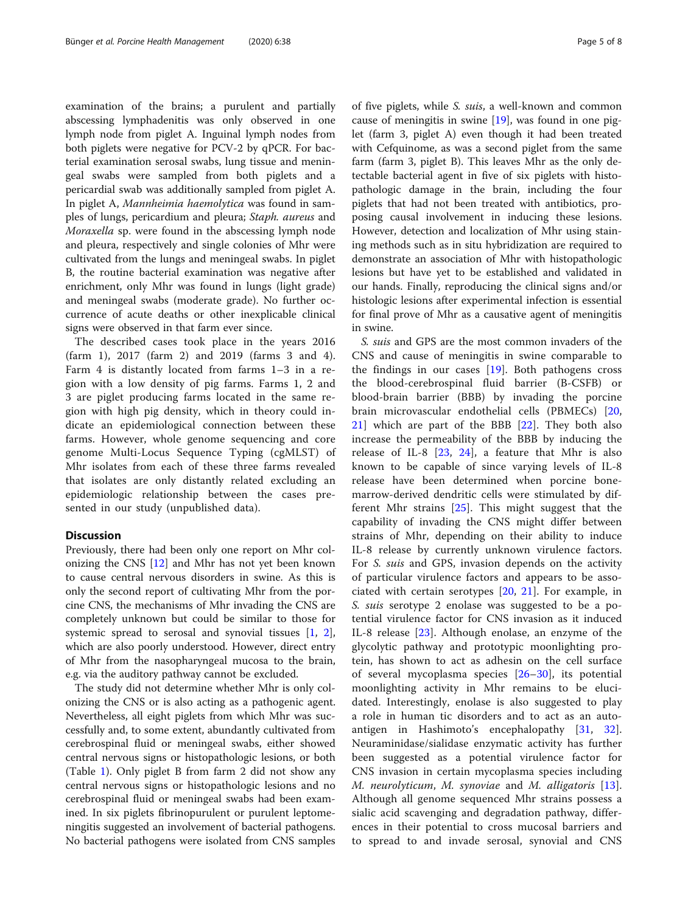examination of the brains; a purulent and partially abscessing lymphadenitis was only observed in one lymph node from piglet A. Inguinal lymph nodes from both piglets were negative for PCV-2 by qPCR. For bacterial examination serosal swabs, lung tissue and meningeal swabs were sampled from both piglets and a pericardial swab was additionally sampled from piglet A. In piglet A, Mannheimia haemolytica was found in samples of lungs, pericardium and pleura; Staph. aureus and Moraxella sp. were found in the abscessing lymph node and pleura, respectively and single colonies of Mhr were cultivated from the lungs and meningeal swabs. In piglet B, the routine bacterial examination was negative after enrichment, only Mhr was found in lungs (light grade) and meningeal swabs (moderate grade). No further occurrence of acute deaths or other inexplicable clinical signs were observed in that farm ever since.

The described cases took place in the years 2016 (farm 1), 2017 (farm 2) and 2019 (farms 3 and 4). Farm 4 is distantly located from farms 1–3 in a region with a low density of pig farms. Farms 1, 2 and 3 are piglet producing farms located in the same region with high pig density, which in theory could indicate an epidemiological connection between these farms. However, whole genome sequencing and core genome Multi-Locus Sequence Typing (cgMLST) of Mhr isolates from each of these three farms revealed that isolates are only distantly related excluding an epidemiologic relationship between the cases presented in our study (unpublished data).

# **Discussion**

Previously, there had been only one report on Mhr colonizing the CNS [[12\]](#page-6-0) and Mhr has not yet been known to cause central nervous disorders in swine. As this is only the second report of cultivating Mhr from the porcine CNS, the mechanisms of Mhr invading the CNS are completely unknown but could be similar to those for systemic spread to serosal and synovial tissues [\[1,](#page-6-0) [2](#page-6-0)], which are also poorly understood. However, direct entry of Mhr from the nasopharyngeal mucosa to the brain, e.g. via the auditory pathway cannot be excluded.

The study did not determine whether Mhr is only colonizing the CNS or is also acting as a pathogenic agent. Nevertheless, all eight piglets from which Mhr was successfully and, to some extent, abundantly cultivated from cerebrospinal fluid or meningeal swabs, either showed central nervous signs or histopathologic lesions, or both (Table [1\)](#page-5-0). Only piglet B from farm 2 did not show any central nervous signs or histopathologic lesions and no cerebrospinal fluid or meningeal swabs had been examined. In six piglets fibrinopurulent or purulent leptomeningitis suggested an involvement of bacterial pathogens. No bacterial pathogens were isolated from CNS samples of five piglets, while S. suis, a well-known and common cause of meningitis in swine [[19\]](#page-7-0), was found in one piglet (farm 3, piglet A) even though it had been treated with Cefquinome, as was a second piglet from the same farm (farm 3, piglet B). This leaves Mhr as the only detectable bacterial agent in five of six piglets with histopathologic damage in the brain, including the four piglets that had not been treated with antibiotics, proposing causal involvement in inducing these lesions. However, detection and localization of Mhr using staining methods such as in situ hybridization are required to demonstrate an association of Mhr with histopathologic lesions but have yet to be established and validated in our hands. Finally, reproducing the clinical signs and/or histologic lesions after experimental infection is essential for final prove of Mhr as a causative agent of meningitis in swine.

S. suis and GPS are the most common invaders of the CNS and cause of meningitis in swine comparable to the findings in our cases  $[19]$  $[19]$ . Both pathogens cross the blood-cerebrospinal fluid barrier (B-CSFB) or blood-brain barrier (BBB) by invading the porcine brain microvascular endothelial cells (PBMECs) [\[20](#page-7-0), [21\]](#page-7-0) which are part of the BBB [\[22](#page-7-0)]. They both also increase the permeability of the BBB by inducing the release of IL-8  $[23, 24]$  $[23, 24]$  $[23, 24]$  $[23, 24]$ , a feature that Mhr is also known to be capable of since varying levels of IL-8 release have been determined when porcine bonemarrow-derived dendritic cells were stimulated by different Mhr strains [[25\]](#page-7-0). This might suggest that the capability of invading the CNS might differ between strains of Mhr, depending on their ability to induce IL-8 release by currently unknown virulence factors. For *S. suis* and GPS, invasion depends on the activity of particular virulence factors and appears to be associated with certain serotypes [[20](#page-7-0), [21](#page-7-0)]. For example, in S. suis serotype 2 enolase was suggested to be a potential virulence factor for CNS invasion as it induced IL-8 release [\[23](#page-7-0)]. Although enolase, an enzyme of the glycolytic pathway and prototypic moonlighting protein, has shown to act as adhesin on the cell surface of several mycoplasma species [[26](#page-7-0)–[30\]](#page-7-0), its potential moonlighting activity in Mhr remains to be elucidated. Interestingly, enolase is also suggested to play a role in human tic disorders and to act as an autoantigen in Hashimoto's encephalopathy [[31](#page-7-0), [32](#page-7-0)]. Neuraminidase/sialidase enzymatic activity has further been suggested as a potential virulence factor for CNS invasion in certain mycoplasma species including M. neurolyticum, M. synoviae and M. alligatoris [\[13](#page-6-0)]. Although all genome sequenced Mhr strains possess a sialic acid scavenging and degradation pathway, differences in their potential to cross mucosal barriers and to spread to and invade serosal, synovial and CNS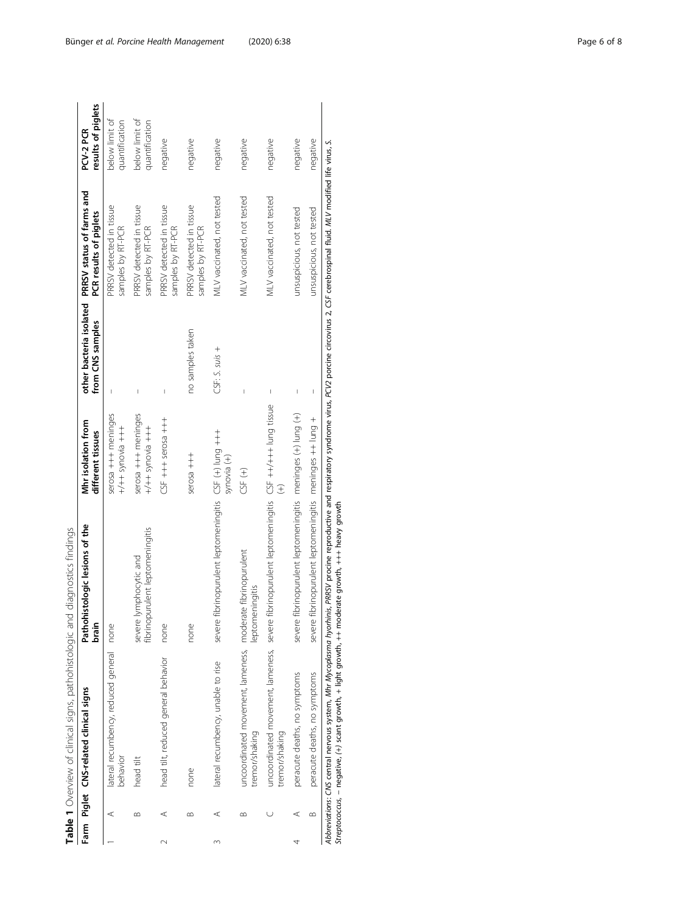<span id="page-5-0"></span>

|        |          | Table 1 Overview of clinical signs, pathohistologic and diagnostics findings                                                                                                                                    |                                                                 |                                              |                  |                                                                             |                                  |
|--------|----------|-----------------------------------------------------------------------------------------------------------------------------------------------------------------------------------------------------------------|-----------------------------------------------------------------|----------------------------------------------|------------------|-----------------------------------------------------------------------------|----------------------------------|
|        |          | Farm Piglet CNS-related clinical signs                                                                                                                                                                          | Pathohistologic lesions of the<br>brain                         | Mhr isolation from<br>different tissues      | from CNS samples | other bacteria isolated PRRSV status of farms and<br>PCR results of piglets | results of piglets<br>PCV-2 PCR  |
|        | ⋖        | lateral recumbency, reduced general<br>behavior                                                                                                                                                                 | none                                                            | serosa +++ meninges<br>$++++$ synory $++++$  |                  | PRRSV detected in tissue<br>samples by RT-PCR                               | below limit of<br>quantification |
|        | $\infty$ | head tilt                                                                                                                                                                                                       | fibrinopurulent leptomeningitis<br>lymphocytic and<br>severe    | serosa +++ meninges<br>$++++$ synovia $++++$ |                  | PRRSV detected in tissue<br>samples by RT-PCR                               | below limit of<br>quantification |
| $\sim$ | ⋖        | head tilt, reduced general behavior                                                                                                                                                                             | none                                                            | $C5F + + + +$                                |                  | PRRSV detected in tissue<br>samples by RT-PCR                               | negative                         |
|        | $\infty$ | none                                                                                                                                                                                                            | none                                                            | $+++$                                        | no samples taken | PRRSV detected in tissue<br>samples by RT-PCR                               | negative                         |
| 3      | ⋖        | lateral recumbency, unable to rise                                                                                                                                                                              | fibrinopurulent leptomeningitis CSF (+) lung +++<br>severe      | synovia (+)                                  | $CSE: S. Suis +$ | MLV vaccinated, not tested                                                  | negative                         |
|        | $\infty$ | uncoordinated movement, lameness, moderate fibrinopurulent<br>tremor/shaking                                                                                                                                    | leptomeningitis                                                 | CSF(+)                                       |                  | MLV vaccinated, not tested                                                  | negative                         |
|        |          | uncoordinated movement, lameness, severe<br>tremor/shaking                                                                                                                                                      | fibrinopurulent leptomeningitis CSF ++/+++ lung tissue          | £                                            | $\mathbf{I}$     | MLV vaccinated, not tested                                                  | negative                         |
| 4      | ⋖        | peracute deaths, no symptoms                                                                                                                                                                                    | fibrinopurulent leptomeningitis meninges (+) lung (+)<br>severe |                                              |                  | unsuspicious, not tested                                                    | negative                         |
|        | $\infty$ | peracute deaths, no symptoms                                                                                                                                                                                    | severe fibrinopurulent leptomeningitis meninges ++ lung +       |                                              | I                | unsuspicious, not tested                                                    | negative                         |
|        |          | Abbreviations: CNS central nervous system, Mhr Mycoplasma hyorhinis, PRRSV procine reproductive and respiratory syndrome virus, PCV2 porcine circovirus 2, CSF cerebrospinal fluid. MLV modified life virus, S. |                                                                 |                                              |                  |                                                                             |                                  |

ā. 

Streptococcus, − negative, (+) scant growth, + light growth, ++ moderate growth, +++ heavy growth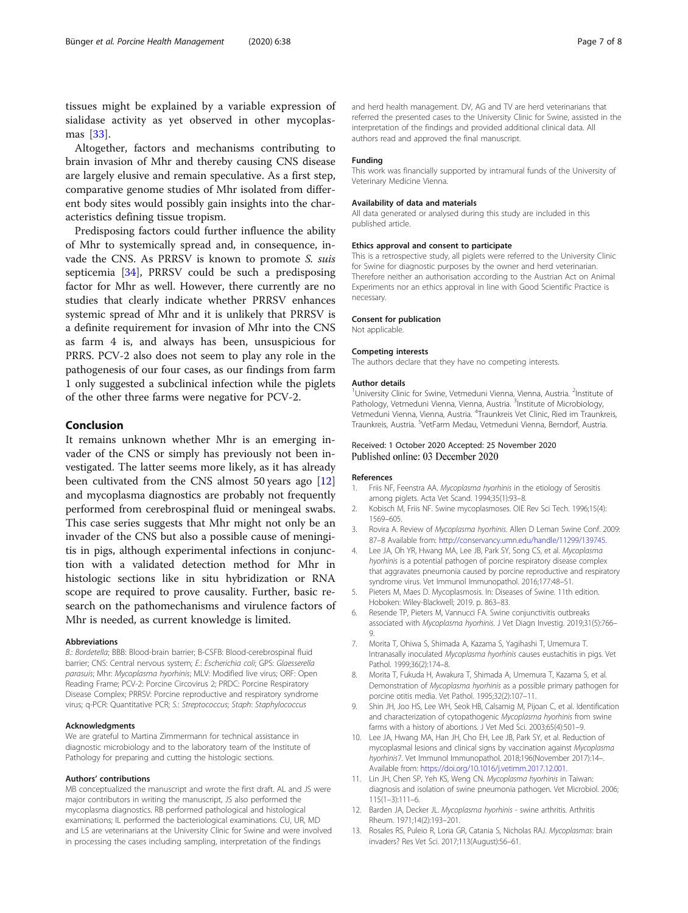<span id="page-6-0"></span>tissues might be explained by a variable expression of sialidase activity as yet observed in other mycoplasmas [[33](#page-7-0)].

Altogether, factors and mechanisms contributing to brain invasion of Mhr and thereby causing CNS disease are largely elusive and remain speculative. As a first step, comparative genome studies of Mhr isolated from different body sites would possibly gain insights into the characteristics defining tissue tropism.

Predisposing factors could further influence the ability of Mhr to systemically spread and, in consequence, invade the CNS. As PRRSV is known to promote S. suis septicemia [\[34\]](#page-7-0), PRRSV could be such a predisposing factor for Mhr as well. However, there currently are no studies that clearly indicate whether PRRSV enhances systemic spread of Mhr and it is unlikely that PRRSV is a definite requirement for invasion of Mhr into the CNS as farm 4 is, and always has been, unsuspicious for PRRS. PCV-2 also does not seem to play any role in the pathogenesis of our four cases, as our findings from farm 1 only suggested a subclinical infection while the piglets of the other three farms were negative for PCV-2.

# Conclusion

It remains unknown whether Mhr is an emerging invader of the CNS or simply has previously not been investigated. The latter seems more likely, as it has already been cultivated from the CNS almost 50 years ago [12] and mycoplasma diagnostics are probably not frequently performed from cerebrospinal fluid or meningeal swabs. This case series suggests that Mhr might not only be an invader of the CNS but also a possible cause of meningitis in pigs, although experimental infections in conjunction with a validated detection method for Mhr in histologic sections like in situ hybridization or RNA scope are required to prove causality. Further, basic research on the pathomechanisms and virulence factors of Mhr is needed, as current knowledge is limited.

#### Abbreviations

B.: Bordetella; BBB: Blood-brain barrier; B-CSFB: Blood-cerebrospinal fluid barrier; CNS: Central nervous system; E.: Escherichia coli; GPS: Glaesserella parasuis; Mhr: Mycoplasma hyorhinis; MLV: Modified live virus; ORF: Open Reading Frame; PCV-2: Porcine Circovirus 2; PRDC: Porcine Respiratory Disease Complex; PRRSV: Porcine reproductive and respiratory syndrome virus; q-PCR: Quantitative PCR; S.: Streptococcus; Staph: Staphylococcus

#### Acknowledgments

We are grateful to Martina Zimmermann for technical assistance in diagnostic microbiology and to the laboratory team of the Institute of Pathology for preparing and cutting the histologic sections.

#### Authors' contributions

MB conceptualized the manuscript and wrote the first draft. AL and JS were major contributors in writing the manuscript, JS also performed the mycoplasma diagnostics. RB performed pathological and histological examinations; IL performed the bacteriological examinations. CU, UR, MD and LS are veterinarians at the University Clinic for Swine and were involved in processing the cases including sampling, interpretation of the findings

and herd health management. DV, AG and TV are herd veterinarians that referred the presented cases to the University Clinic for Swine, assisted in the interpretation of the findings and provided additional clinical data. All authors read and approved the final manuscript.

#### Funding

This work was financially supported by intramural funds of the University of Veterinary Medicine Vienna.

#### Availability of data and materials

All data generated or analysed during this study are included in this published article.

#### Ethics approval and consent to participate

This is a retrospective study, all piglets were referred to the University Clinic for Swine for diagnostic purposes by the owner and herd veterinarian. Therefore neither an authorisation according to the Austrian Act on Animal Experiments nor an ethics approval in line with Good Scientific Practice is necessary.

#### Consent for publication

Not applicable.

#### Competing interests

The authors declare that they have no competing interests.

#### Author details

<sup>1</sup>University Clinic for Swine, Vetmeduni Vienna, Vienna, Austria. <sup>2</sup>Institute of Pathology, Vetmeduni Vienna, Vienna, Austria. <sup>3</sup>Institute of Microbiology Vetmeduni Vienna, Vienna, Austria. <sup>4</sup>Traunkreis Vet Clinic, Ried im Traunkreis Traunkreis, Austria. <sup>5</sup>VetFarm Medau, Vetmeduni Vienna, Berndorf, Austria

## Received: 1 October 2020 Accepted: 25 November 2020 Published online: 03 December 2020

#### References

- 1. Friis NF, Feenstra AA. Mycoplasma hyorhinis in the etiology of Serositis among piglets. Acta Vet Scand. 1994;35(1):93–8.
- 2. Kobisch M, Friis NF. Swine mycoplasmoses. OIE Rev Sci Tech. 1996;15(4): 1569–605.
- 3. Rovira A. Review of Mycoplasma hyorhinis. Allen D Leman Swine Conf. 2009: 87–8 Available from: <http://conservancy.umn.edu/handle/11299/139745>.
- Lee JA, Oh YR, Hwang MA, Lee JB, Park SY, Song CS, et al. Mycoplasma hyorhinis is a potential pathogen of porcine respiratory disease complex that aggravates pneumonia caused by porcine reproductive and respiratory syndrome virus. Vet Immunol Immunopathol. 2016;177:48–51.
- 5. Pieters M, Maes D. Mycoplasmosis. In: Diseases of Swine. 11th edition. Hoboken: Wiley-Blackwell; 2019. p. 863–83.
- 6. Resende TP, Pieters M, Vannucci FA. Swine conjunctivitis outbreaks associated with Mycoplasma hyorhinis. J Vet Diagn Investig. 2019;31(5):766– 9.
- 7. Morita T, Ohiwa S, Shimada A, Kazama S, Yagihashi T, Umemura T. Intranasally inoculated Mycoplasma hyorhinis causes eustachitis in pigs. Vet Pathol. 1999;36(2):174–8.
- 8. Morita T, Fukuda H, Awakura T, Shimada A, Umemura T, Kazama S, et al. Demonstration of Mycoplasma hyorhinis as a possible primary pathogen for porcine otitis media. Vet Pathol. 1995;32(2):107–11.
- 9. Shin JH, Joo HS, Lee WH, Seok HB, Calsamig M, Pijoan C, et al. Identification and characterization of cytopathogenic Mycoplasma hyorhinis from swine farms with a history of abortions. J Vet Med Sci. 2003;65(4):501–9.
- 10. Lee JA, Hwang MA, Han JH, Cho EH, Lee JB, Park SY, et al. Reduction of mycoplasmal lesions and clinical signs by vaccination against Mycoplasma hyorhinis7. Vet Immunol Immunopathol. 2018;196(November 2017):14–. Available from: <https://doi.org/10.1016/j.vetimm.2017.12.001>.
- 11. Lin JH, Chen SP, Yeh KS, Weng CN. Mycoplasma hyorhinis in Taiwan: diagnosis and isolation of swine pneumonia pathogen. Vet Microbiol. 2006; 115(1–3):111–6.
- 12. Barden JA, Decker JL. Mycoplasma hyorhinis swine arthritis. Arthritis Rheum. 1971;14(2):193–201.
- 13. Rosales RS, Puleio R, Loria GR, Catania S, Nicholas RAJ. Mycoplasmas: brain invaders? Res Vet Sci. 2017;113(August):56–61.